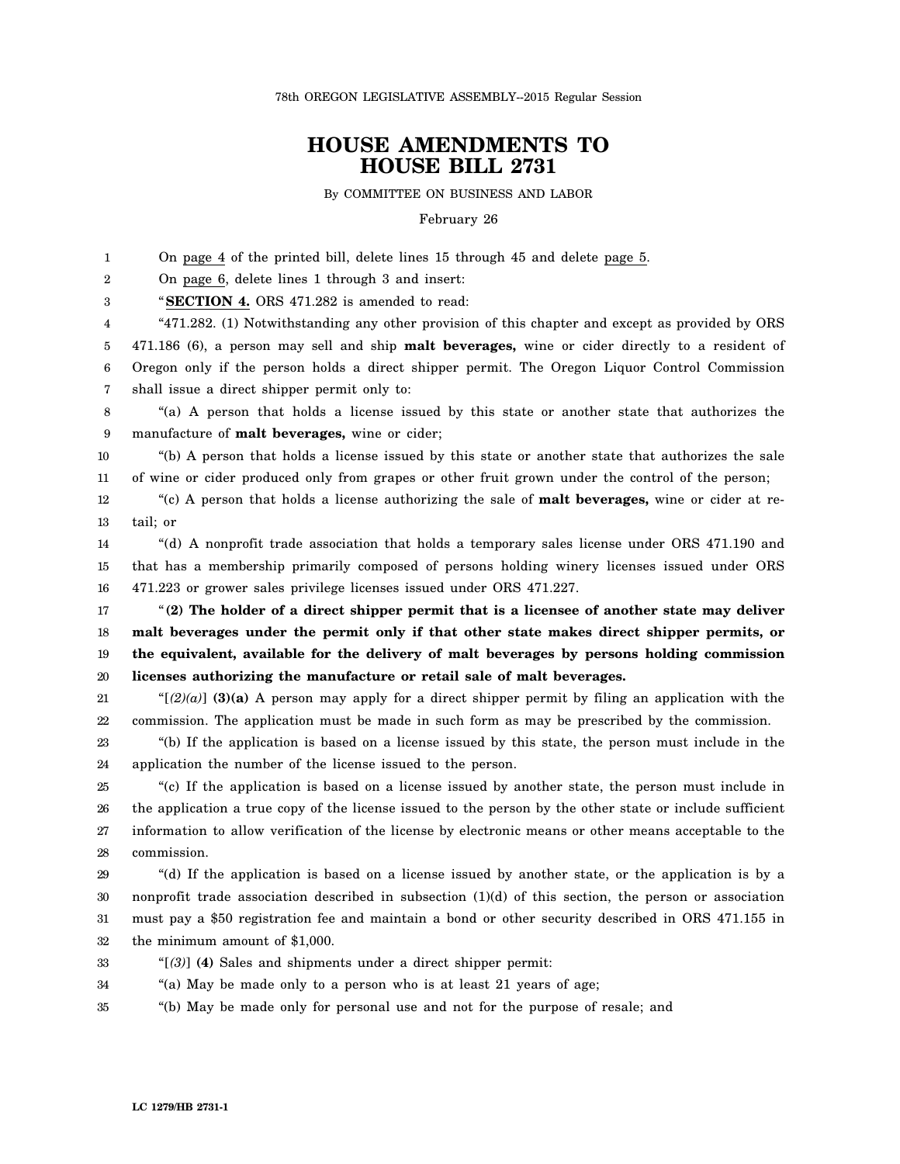78th OREGON LEGISLATIVE ASSEMBLY--2015 Regular Session

## **HOUSE AMENDMENTS TO HOUSE BILL 2731**

By COMMITTEE ON BUSINESS AND LABOR

February 26

1 2 3 4 5 6 7 8 9 10 11 12 13 14 15 16 17 18 19 20 21 22 23 24 On page 4 of the printed bill, delete lines 15 through 45 and delete page 5. On page 6, delete lines 1 through 3 and insert: "**SECTION 4.** ORS 471.282 is amended to read: "471.282. (1) Notwithstanding any other provision of this chapter and except as provided by ORS 471.186 (6), a person may sell and ship **malt beverages,** wine or cider directly to a resident of Oregon only if the person holds a direct shipper permit. The Oregon Liquor Control Commission shall issue a direct shipper permit only to: "(a) A person that holds a license issued by this state or another state that authorizes the manufacture of **malt beverages,** wine or cider; "(b) A person that holds a license issued by this state or another state that authorizes the sale of wine or cider produced only from grapes or other fruit grown under the control of the person; "(c) A person that holds a license authorizing the sale of **malt beverages,** wine or cider at retail; or "(d) A nonprofit trade association that holds a temporary sales license under ORS 471.190 and that has a membership primarily composed of persons holding winery licenses issued under ORS 471.223 or grower sales privilege licenses issued under ORS 471.227. "**(2) The holder of a direct shipper permit that is a licensee of another state may deliver malt beverages under the permit only if that other state makes direct shipper permits, or the equivalent, available for the delivery of malt beverages by persons holding commission licenses authorizing the manufacture or retail sale of malt beverages.** " $[2](a)$ ] **(3)(a)** A person may apply for a direct shipper permit by filing an application with the commission. The application must be made in such form as may be prescribed by the commission. "(b) If the application is based on a license issued by this state, the person must include in the application the number of the license issued to the person.

25 26 27 28 "(c) If the application is based on a license issued by another state, the person must include in the application a true copy of the license issued to the person by the other state or include sufficient information to allow verification of the license by electronic means or other means acceptable to the commission.

29 30 31 32 "(d) If the application is based on a license issued by another state, or the application is by a nonprofit trade association described in subsection (1)(d) of this section, the person or association must pay a \$50 registration fee and maintain a bond or other security described in ORS 471.155 in the minimum amount of \$1,000.

- 33 "[*(3)*] **(4)** Sales and shipments under a direct shipper permit:
- 34 "(a) May be made only to a person who is at least 21 years of age;
- 35 "(b) May be made only for personal use and not for the purpose of resale; and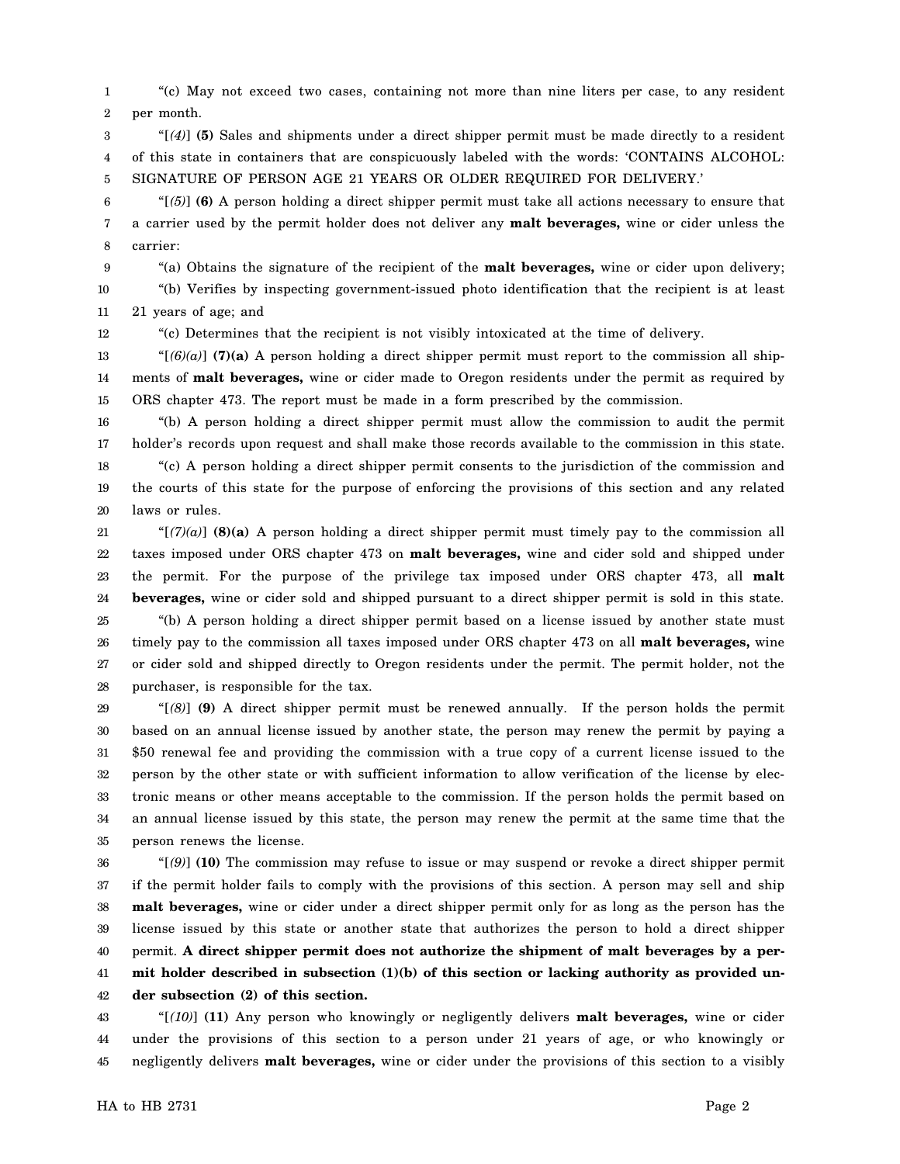1 2 "(c) May not exceed two cases, containing not more than nine liters per case, to any resident per month.

3 4 5 "[*(4)*] **(5)** Sales and shipments under a direct shipper permit must be made directly to a resident of this state in containers that are conspicuously labeled with the words: 'CONTAINS ALCOHOL: SIGNATURE OF PERSON AGE 21 YEARS OR OLDER REQUIRED FOR DELIVERY.'

6 7 8 "[*(5)*] **(6)** A person holding a direct shipper permit must take all actions necessary to ensure that a carrier used by the permit holder does not deliver any **malt beverages,** wine or cider unless the carrier:

9 10 "(a) Obtains the signature of the recipient of the **malt beverages,** wine or cider upon delivery; "(b) Verifies by inspecting government-issued photo identification that the recipient is at least

11 21 years of age; and

12 "(c) Determines that the recipient is not visibly intoxicated at the time of delivery.

13 14 15 " $[6]$ (a)] (7)(a) A person holding a direct shipper permit must report to the commission all shipments of **malt beverages,** wine or cider made to Oregon residents under the permit as required by ORS chapter 473. The report must be made in a form prescribed by the commission.

16 17 18 19 "(b) A person holding a direct shipper permit must allow the commission to audit the permit holder's records upon request and shall make those records available to the commission in this state. "(c) A person holding a direct shipper permit consents to the jurisdiction of the commission and the courts of this state for the purpose of enforcing the provisions of this section and any related

20 laws or rules.

21 22 23 24 " $[(7)(a)]$  (8)(a) A person holding a direct shipper permit must timely pay to the commission all taxes imposed under ORS chapter 473 on **malt beverages,** wine and cider sold and shipped under the permit. For the purpose of the privilege tax imposed under ORS chapter 473, all **malt beverages,** wine or cider sold and shipped pursuant to a direct shipper permit is sold in this state.

25 26 27 28 "(b) A person holding a direct shipper permit based on a license issued by another state must timely pay to the commission all taxes imposed under ORS chapter 473 on all **malt beverages,** wine or cider sold and shipped directly to Oregon residents under the permit. The permit holder, not the purchaser, is responsible for the tax.

29 30 31 32 33 34 35 "[*(8)*] **(9)** A direct shipper permit must be renewed annually. If the person holds the permit based on an annual license issued by another state, the person may renew the permit by paying a \$50 renewal fee and providing the commission with a true copy of a current license issued to the person by the other state or with sufficient information to allow verification of the license by electronic means or other means acceptable to the commission. If the person holds the permit based on an annual license issued by this state, the person may renew the permit at the same time that the person renews the license.

36 37 38 39 40 41 42 "[*(9)*] **(10)** The commission may refuse to issue or may suspend or revoke a direct shipper permit if the permit holder fails to comply with the provisions of this section. A person may sell and ship **malt beverages,** wine or cider under a direct shipper permit only for as long as the person has the license issued by this state or another state that authorizes the person to hold a direct shipper permit. **A direct shipper permit does not authorize the shipment of malt beverages by a permit holder described in subsection (1)(b) of this section or lacking authority as provided under subsection (2) of this section.**

43 44 45 "[*(10)*] **(11)** Any person who knowingly or negligently delivers **malt beverages,** wine or cider under the provisions of this section to a person under 21 years of age, or who knowingly or negligently delivers **malt beverages,** wine or cider under the provisions of this section to a visibly